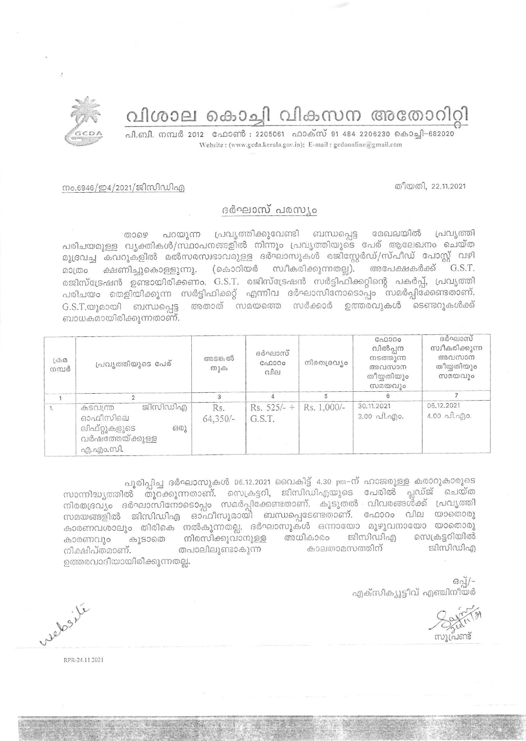

## വിശാല കൊച്ചി വികസന അതോറിറ്റി

പി.ബി. നമ്പർ 2012 ഫോൺ : 2205061 ഫാക്സ് 91 484 2206230 കൊച്ചി-682020 Website: (www.gcda.kerala.gov.in); E-mail: gcdaonline@gmail.com

തീയതി, 22.11.2021

## നം.6946/ഇ4/2021/ജിസിഡിഎ

## ദർഘാസ് പരസ്യം

മേഖലയിൽ പറയുന്ന പ്രവൃത്തിക്കുവേണ്ടി ബന്ധപ്പെട്ട പ്രവ്യത്തി താഴെ പരിചയമുള്ള വൃക്തികൾ/സ്ഥാപനങ്ങളിൽ നിന്നും പ്രവൃത്തിയുടെ പേര് ആലേഖനം ചെയ്ത മുദ്രവച്ച കവറുകളിൽ മൽസരസ്വഭാവമുള്ള ദർഘാസുകൾ രജിസ്റ്റേർഡ്/സ്പീഡ് പോസ്റ്റ് വഴി മാത്രം ക്ഷണിച്ചുകൊള്ളുന്നു. (കൊറിയർ സ്വീകരിക്കുന്നതല്ല). അപേക്ഷകർക്ക് G.S.T. രജിസ്ട്രേഷൻ ഉണ്ടായിരിക്കണം. G.S.T. രജിസ്ട്രേഷൻ സർട്ടിഫിക്കറ്റിന്റെ പകർപ്പ്, പ്രവൃത്തി പരിചയം തെളിയിക്കുന്ന സർട്ടിഫിക്കറ്റ് എന്നിവ ദർഘാസിനോടൊപ്പം സമർപ്പിക്കേണ്ടതാണ്. G.S.T.യുമായി ബന്ധപ്പെട്ട അതാത് സമയത്തെ സർക്കാർ ഉത്തരവുകൾ ടെണ്ടറുകൾക്ക് ബാധകമായിരിക്കുന്നതാണ്.

| $\mathcal{L}\oplus\Omega$<br>നമ്പർ | പ്രവ്യത്തിയുടെ പേര്                                                                  | അടങ്കൽ<br>തുക     | ദർഘാസ്<br>GAD000<br>വില | നിരതദ്രവ്യം | GQQQQQ<br>വിൽപ്പന<br>നടത്തുന്ന<br>അവസാന<br>തീയ്യതിയും<br>സമയവും | ദർഘാസ്<br>സ്വീകരിക്കുന്ന<br>അവസാന<br>തീയതിയും<br>സമയവും |
|------------------------------------|--------------------------------------------------------------------------------------|-------------------|-------------------------|-------------|-----------------------------------------------------------------|---------------------------------------------------------|
|                                    |                                                                                      |                   |                         |             |                                                                 |                                                         |
|                                    | ജിസിഡിഎ<br>കടവന്ത<br>ഓഫീസിലെ<br>ലിഫ്റ്റുകളുടെ<br>630<br>വർഷത്തേയ്ക്കുള്ള<br>എ.എം.സി. | Rs.<br>$64,350/-$ | $Rs. 525/- +$<br>G.S.T. | Rs. 1,000/- | 30.11.2021<br>$3.00 \neg A. \neg A.$                            | 06.12.2021<br>4.00 പി.എo.                               |

പൂരിപ്പിച്ച ദർഘാസുകൾ 06.12.2021 വൈകിട്ട് 4.30 pm-ന് ഹാജരുള്ള കരാറുകാരുടെ സാന്നിദ്ധ്യത്തിൽ തുറക്കുന്നതാണ്. സെക്രട്ടറി, ജിസിഡിഎയുടെ പേരിൽ പ്ലഡ്ജ് ചെയ്ത നിരതദ്രവും ദർഘാസിനോടൊപ്പം സമർപ്പിക്കേണ്ടതാണ്. കൂടുതൽ വിവരങ്ങൾക്ക് പ്രവൃത്തി സമയങ്ങളിൽ ജിസിഡിഎ ഓഫീസുമായി ബന്ധപ്പെടേണ്ടതാണ്. ഫോറം വില യാതൊരു കാരണവശാലും തിരികെ നൽകുന്നതല്ല. ദർഘാസുകൾ ഒന്നായോ മുഴുവനായോ യാതൊരു ജിസിഡിഎ സെക്രട്ടറിയിൽ നിരസിക്കുവാനുള്ള അധികാരം കാരണവും കൂടാതെ ജിസിഡിഎ നിക്ഷിപ്തമാണ്. തപാലിലുണ്ടാകുന്ന കാലതാമസത്തിന് ഉത്തരവാദിയായിരിക്കുന്നതല്ല.

> $692$ എക്സിക്യൂട്ടീവ് എഞ്ചിനീയർ

relosite

RPR-24.11.2021